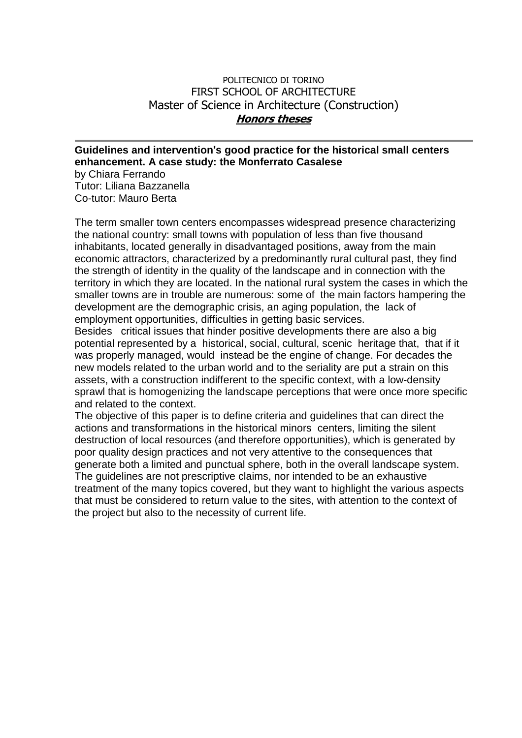## POLITECNICO DI TORINO FIRST SCHOOL OF ARCHITECTURE Master of Science in Architecture (Construction) **Honors theses**

## **Guidelines and interventionʹs good practice for the historical small centers enhancement. A case study: the Monferrato Casalese**

by Chiara Ferrando Tutor: Liliana Bazzanella Co-tutor: Mauro Berta

The term smaller town centers encompasses widespread presence characterizing the national country: small towns with population of less than five thousand inhabitants, located generally in disadvantaged positions, away from the main economic attractors, characterized by a predominantly rural cultural past, they find the strength of identity in the quality of the landscape and in connection with the territory in which they are located. In the national rural system the cases in which the smaller towns are in trouble are numerous: some of the main factors hampering the development are the demographic crisis, an aging population, the lack of employment opportunities, difficulties in getting basic services.

Besides critical issues that hinder positive developments there are also a big potential represented by a historical, social, cultural, scenic heritage that, that if it was properly managed, would instead be the engine of change. For decades the new models related to the urban world and to the seriality are put a strain on this assets, with a construction indifferent to the specific context, with a low-density sprawl that is homogenizing the landscape perceptions that were once more specific and related to the context.

The objective of this paper is to define criteria and guidelines that can direct the actions and transformations in the historical minors centers, limiting the silent destruction of local resources (and therefore opportunities), which is generated by poor quality design practices and not very attentive to the consequences that generate both a limited and punctual sphere, both in the overall landscape system. The guidelines are not prescriptive claims, nor intended to be an exhaustive treatment of the many topics covered, but they want to highlight the various aspects that must be considered to return value to the sites, with attention to the context of the project but also to the necessity of current life.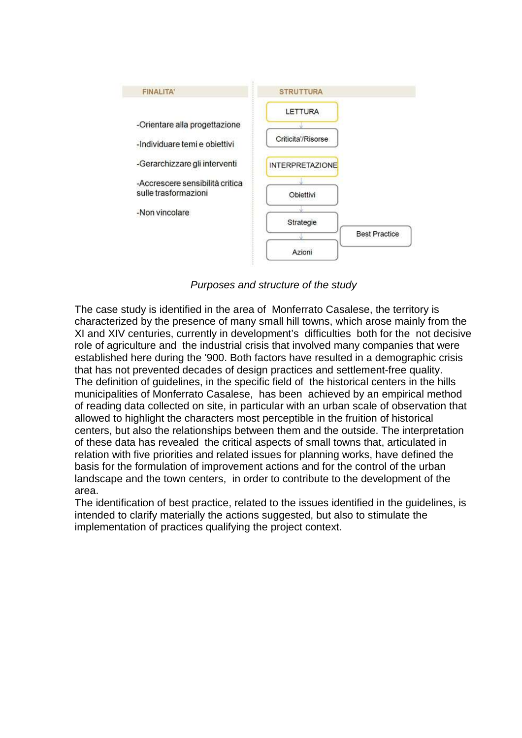

Purposes and structure of the study

The case study is identified in the area of Monferrato Casalese, the territory is characterized by the presence of many small hill towns, which arose mainly from the XI and XIV centuries, currently in development's difficulties both for the not decisive role of agriculture and the industrial crisis that involved many companies that were established here during the '900. Both factors have resulted in a demographic crisis that has not prevented decades of design practices and settlement-free quality. The definition of guidelines, in the specific field of the historical centers in the hills municipalities of Monferrato Casalese, has been achieved by an empirical method of reading data collected on site, in particular with an urban scale of observation that allowed to highlight the characters most perceptible in the fruition of historical centers, but also the relationships between them and the outside. The interpretation of these data has revealed the critical aspects of small towns that, articulated in relation with five priorities and related issues for planning works, have defined the basis for the formulation of improvement actions and for the control of the urban landscape and the town centers, in order to contribute to the development of the area.

The identification of best practice, related to the issues identified in the guidelines, is intended to clarify materially the actions suggested, but also to stimulate the implementation of practices qualifying the project context.